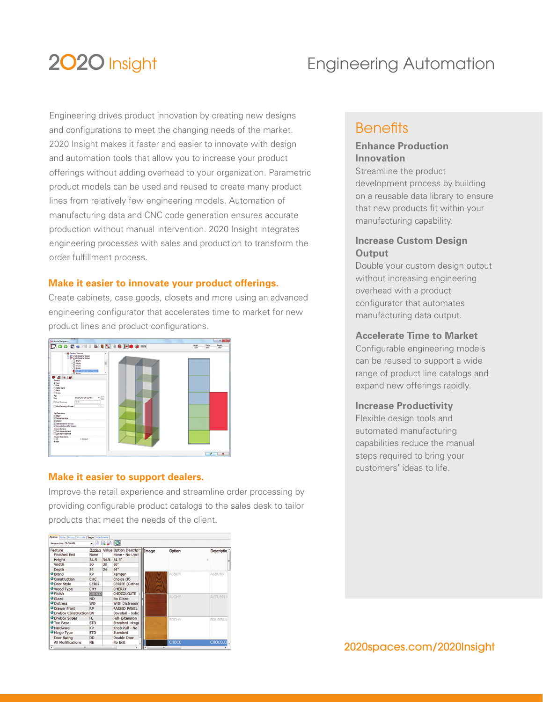# 2020 Insight

# Engineering Automation

Engineering drives product innovation by creating new designs and configurations to meet the changing needs of the market. 2020 Insight makes it faster and easier to innovate with design and automation tools that allow you to increase your product offerings without adding overhead to your organization. Parametric product models can be used and reused to create many product lines from relatively few engineering models. Automation of manufacturing data and CNC code generation ensures accurate production without manual intervention. 2020 Insight integrates engineering processes with sales and production to transform the order fulfillment process.

#### **Make it easier to innovate your product offerings.**

Create cabinets, case goods, closets and more using an advanced engineering configurator that accelerates time to market for new product lines and product configurations.



#### **Make it easier to support dealers.**

Improve the retail experience and streamline order processing by providing configurable product catalogs to the sales desk to tailor products that meet the needs of the client.

| Feature Set: CE-044PL           | $-$ 6 6 8 $\sigma$ |      |                                                           |   |              |                   |
|---------------------------------|--------------------|------|-----------------------------------------------------------|---|--------------|-------------------|
| Feature<br><b>Finished Fnd</b>  | Option<br>None     |      | Value Option Descrip <sup>*</sup> Image<br>None - No Upcl |   | Option       | <b>Descriptio</b> |
| Height                          | 34.5               | 34.5 | 34.5"                                                     |   |              | Δ                 |
| Width                           | 30                 | 30   | 30"                                                       |   |              |                   |
| Depth                           | 24                 | 24   | 24"                                                       |   |              |                   |
| <b>O</b> Brand                  | KP                 |      | Kemper                                                    |   | AUBUR        | AUBURN            |
| Construction                    | CHC                |      | Choice (P)                                                | N |              |                   |
| <b>O</b> Door Style             | <b>CERIS</b>       |      | <b>CERISE</b> (Cathed                                     |   |              |                   |
| <b>Wood Type</b>                | CHY                |      | <b>CHERRY</b>                                             |   |              |                   |
| <b>O</b> Finish                 | CHOCO              |      | CHOCOLOATE                                                |   |              |                   |
| <b>O</b> Glaze                  | NO <sub>1</sub>    |      | No Glaze                                                  |   | <b>AUCHY</b> | <b>AUTUMN (</b>   |
| <b>O</b> Distress               | <b>WD</b>          |      | With Distressir                                           |   |              |                   |
| <b>O</b> Drawer Front           | <b>RP</b>          |      | <b>RAISED PANEL</b>                                       |   |              |                   |
| <b>O DrwBox Construction DV</b> |                    |      | Dovetail - Solic                                          |   |              |                   |
| <b>O</b> DrwBox Slides          | FE                 |      | <b>Full-Extension</b>                                     |   | <b>BOCHY</b> | <b>BOURBAN</b>    |
| <b>O</b> Toe Base               | <b>STD</b>         |      | Standard Integr                                           |   |              |                   |
| <b>O</b> Hardware               | KP                 |      | Knob Pull - No                                            |   |              |                   |
| Hinge Type                      | <b>STD</b>         |      | Standard                                                  |   |              |                   |
| <b>Door Swing</b>               | <b>DD</b>          |      | <b>Double Door</b>                                        |   |              |                   |
| <b>All Modifications</b>        | <b>NE</b>          |      | No Edit                                                   |   | CHOCO        | CHOCOLO           |
|                                 |                    |      |                                                           | H | ×            |                   |

## **Benefits**

### **Enhance Production Innovation**

Streamline the product development process by building on a reusable data library to ensure that new products fit within your manufacturing capability.

### **Increase Custom Design Output**

Double your custom design output without increasing engineering overhead with a product configurator that automates manufacturing data output.

#### **Accelerate Time to Market**

Configurable engineering models can be reused to support a wide range of product line catalogs and expand new offerings rapidly.

#### **Increase Productivity**

Flexible design tools and automated manufacturing capabilities reduce the manual steps required to bring your customers' ideas to life.

### 2020spaces.com/2020Insight